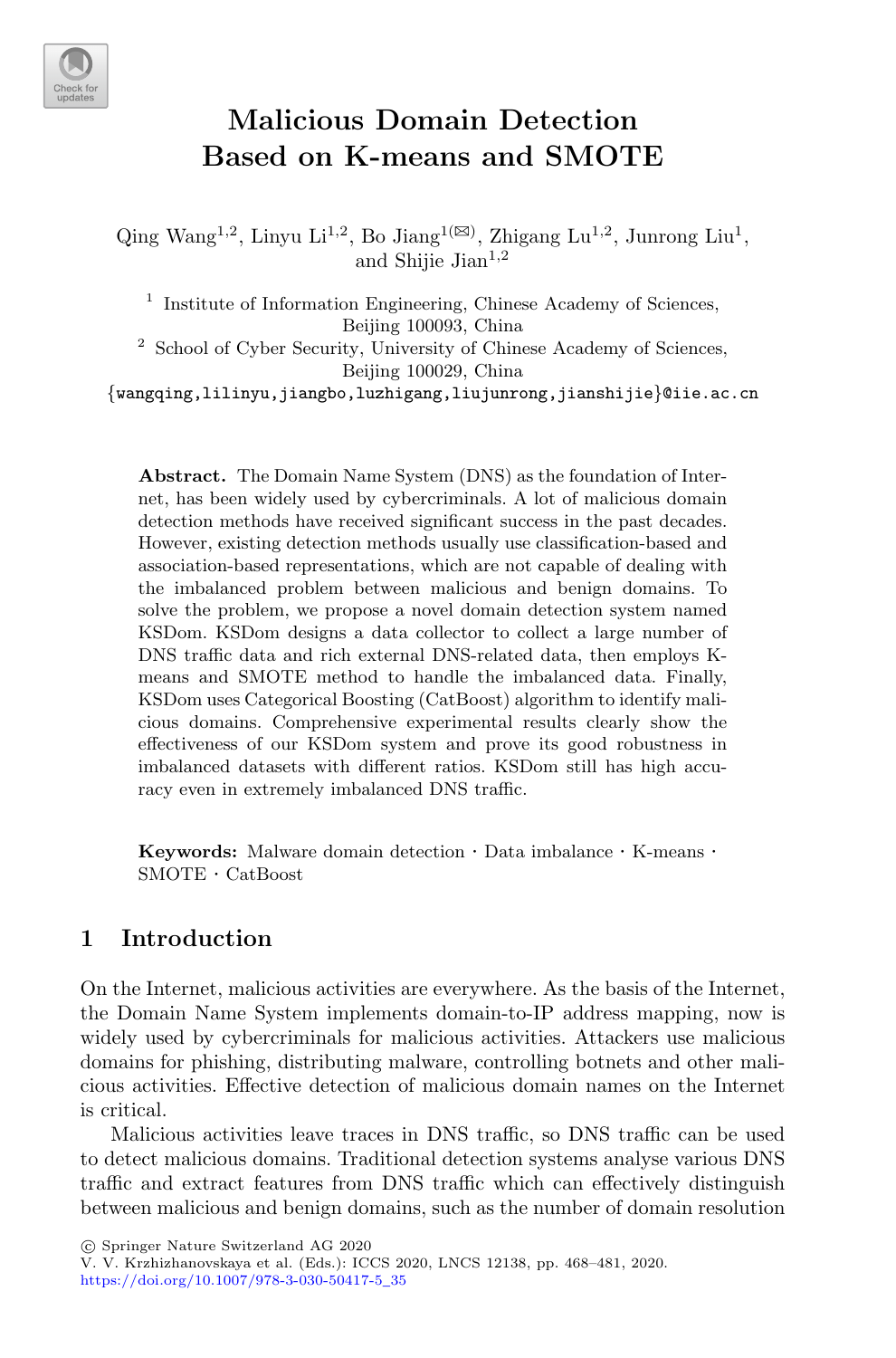

# **Malicious Domain Detection Based on K-means and SMOTE**

Qing Wang<sup>1,2</sup>, Linyu Li<sup>1,2</sup>, Bo Jiang<sup>1( $\boxtimes$ )</sup>, Zhigang Lu<sup>1,2</sup>, Junrong Liu<sup>1</sup>, and Shijie Jian<sup>1,2</sup>

<sup>1</sup> Institute of Information Engineering, Chinese Academy of Sciences, Beijing 100093, China <sup>2</sup> School of Cyber Security, University of Chinese Academy of Sciences, Beijing 100029, China

*{*wangqing,lilinyu,jiangbo,luzhigang,liujunrong,jianshijie*}*@iie.ac.cn

**Abstract.** The Domain Name System (DNS) as the foundation of Internet, has been widely used by cybercriminals. A lot of malicious domain detection methods have received significant success in the past decades. However, existing detection methods usually use classification-based and association-based representations, which are not capable of dealing with the imbalanced problem between malicious and benign domains. To solve the problem, we propose a novel domain detection system named KSDom. KSDom designs a data collector to collect a large number of DNS traffic data and rich external DNS-related data, then employs Kmeans and SMOTE method to handle the imbalanced data. Finally, KSDom uses Categorical Boosting (CatBoost) algorithm to identify malicious domains. Comprehensive experimental results clearly show the effectiveness of our KSDom system and prove its good robustness in imbalanced datasets with different ratios. KSDom still has high accuracy even in extremely imbalanced DNS traffic.

**Keywords:** Malware domain detection  $\cdot$  Data imbalance  $\cdot$  K-means  $\cdot$  SMOTE  $\cdot$  CatBoost

## **1 Introduction**

On the Internet, malicious activities are everywhere. As the basis of the Internet, the Domain Name System implements domain-to-IP address mapping, now is widely used by cybercriminals for malicious activities. Attackers use malicious domains for phishing, distributing malware, controlling botnets and other malicious activities. Effective detection of malicious domain names on the Internet is critical.

Malicious activities leave traces in DNS traffic, so DNS traffic can be used to detect malicious domains. Traditional detection systems analyse various DNS traffic and extract features from DNS traffic which can effectively distinguish between malicious and benign domains, such as the number of domain resolution

-c Springer Nature Switzerland AG 2020 V. V. Krzhizhanovskaya et al. (Eds.): ICCS 2020, LNCS 12138, pp. 468–481, 2020. [https://doi.org/10.1007/978-3-030-50417-5](https://doi.org/10.1007/978-3-030-50417-5_35)\_35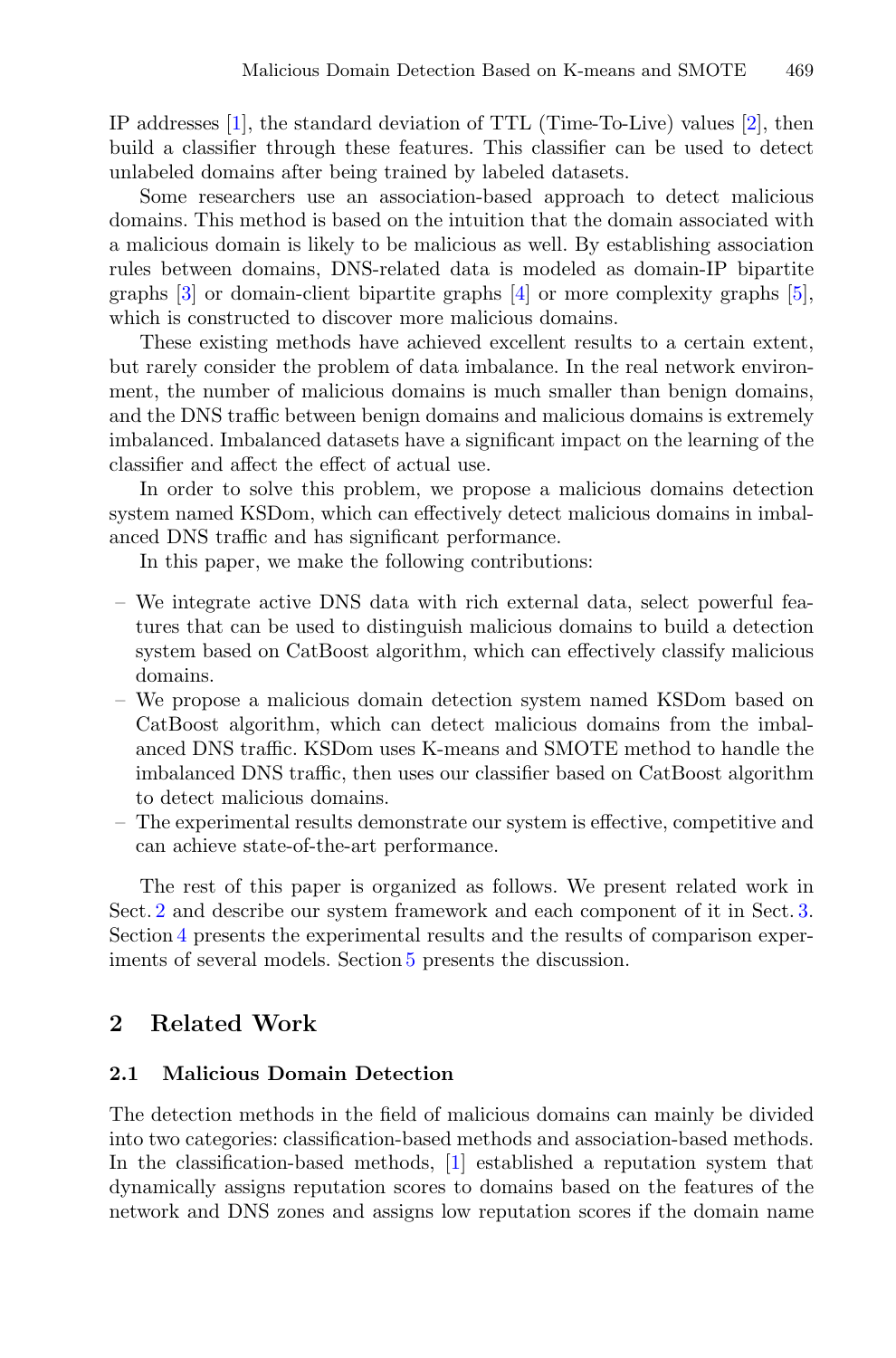IP addresses [\[1\]](#page-12-0), the standard deviation of TTL (Time-To-Live) values [\[2](#page-12-1)], then build a classifier through these features. This classifier can be used to detect unlabeled domains after being trained by labeled datasets.

Some researchers use an association-based approach to detect malicious domains. This method is based on the intuition that the domain associated with a malicious domain is likely to be malicious as well. By establishing association rules between domains, DNS-related data is modeled as domain-IP bipartite graphs [\[3\]](#page-12-2) or domain-client bipartite graphs [\[4\]](#page-12-3) or more complexity graphs [\[5\]](#page-12-4), which is constructed to discover more malicious domains.

These existing methods have achieved excellent results to a certain extent, but rarely consider the problem of data imbalance. In the real network environment, the number of malicious domains is much smaller than benign domains, and the DNS traffic between benign domains and malicious domains is extremely imbalanced. Imbalanced datasets have a significant impact on the learning of the classifier and affect the effect of actual use.

In order to solve this problem, we propose a malicious domains detection system named KSDom, which can effectively detect malicious domains in imbalanced DNS traffic and has significant performance.

In this paper, we make the following contributions:

- We integrate active DNS data with rich external data, select powerful features that can be used to distinguish malicious domains to build a detection system based on CatBoost algorithm, which can effectively classify malicious domains.
- We propose a malicious domain detection system named KSDom based on CatBoost algorithm, which can detect malicious domains from the imbalanced DNS traffic. KSDom uses K-means and SMOTE method to handle the imbalanced DNS traffic, then uses our classifier based on CatBoost algorithm to detect malicious domains.
- The experimental results demonstrate our system is effective, competitive and can achieve state-of-the-art performance.

The rest of this paper is organized as follows. We present related work in Sect. [2](#page-1-0) and describe our system framework and each component of it in Sect. [3.](#page-3-0) Section [4](#page-8-0) presents the experimental results and the results of comparison experiments of several models. Section [5](#page-12-5) presents the discussion.

### <span id="page-1-0"></span>**2 Related Work**

#### **2.1 Malicious Domain Detection**

The detection methods in the field of malicious domains can mainly be divided into two categories: classification-based methods and association-based methods. In the classification-based methods, [\[1](#page-12-0)] established a reputation system that dynamically assigns reputation scores to domains based on the features of the network and DNS zones and assigns low reputation scores if the domain name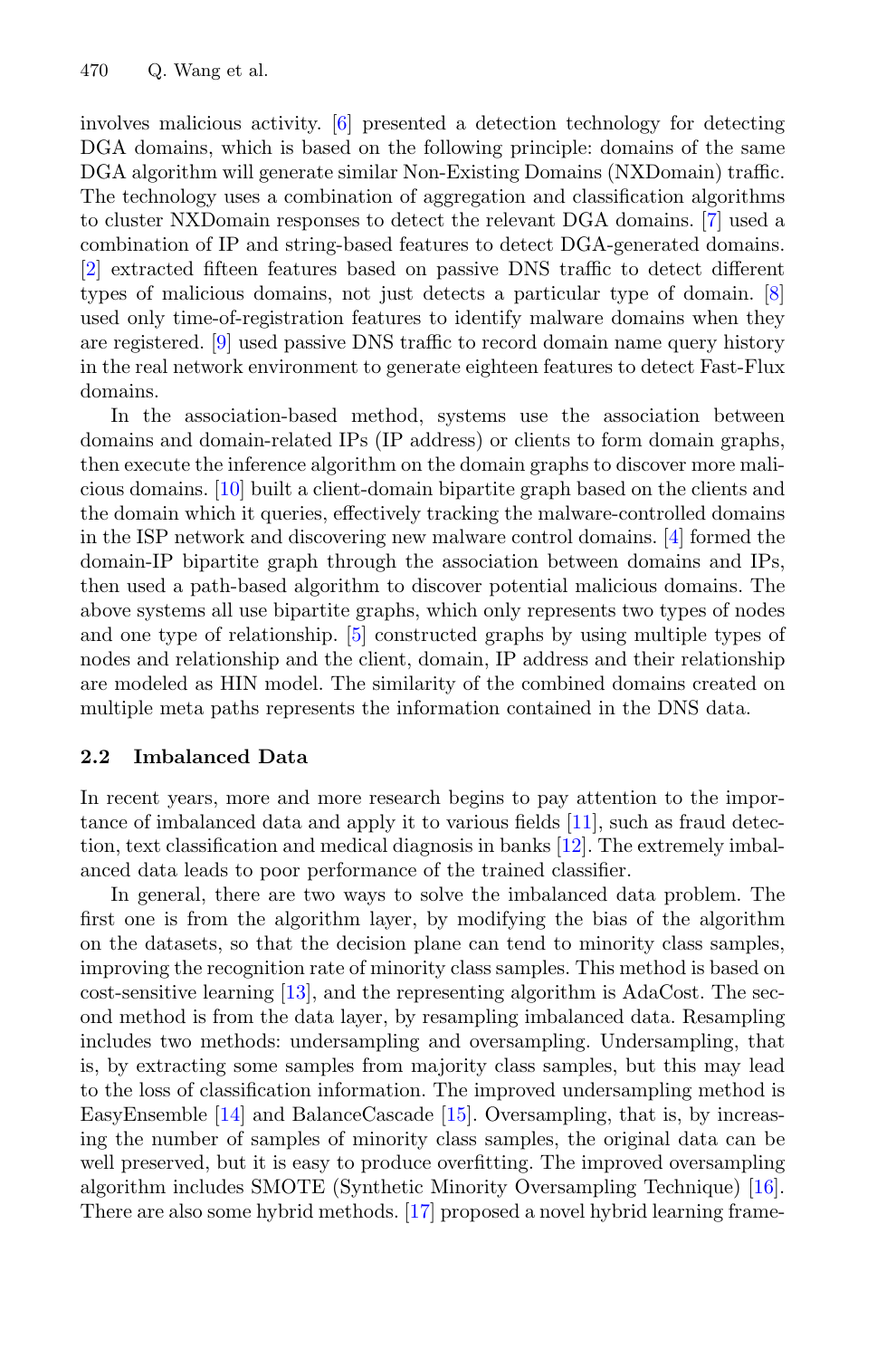involves malicious activity. [\[6](#page-12-6)] presented a detection technology for detecting DGA domains, which is based on the following principle: domains of the same DGA algorithm will generate similar Non-Existing Domains (NXDomain) traffic. The technology uses a combination of aggregation and classification algorithms to cluster NXDomain responses to detect the relevant DGA domains. [\[7\]](#page-12-7) used a combination of IP and string-based features to detect DGA-generated domains. [\[2](#page-12-1)] extracted fifteen features based on passive DNS traffic to detect different types of malicious domains, not just detects a particular type of domain. [\[8](#page-12-8)] used only time-of-registration features to identify malware domains when they are registered. [\[9](#page-12-9)] used passive DNS traffic to record domain name query history in the real network environment to generate eighteen features to detect Fast-Flux domains.

In the association-based method, systems use the association between domains and domain-related IPs (IP address) or clients to form domain graphs, then execute the inference algorithm on the domain graphs to discover more malicious domains. [\[10\]](#page-13-0) built a client-domain bipartite graph based on the clients and the domain which it queries, effectively tracking the malware-controlled domains in the ISP network and discovering new malware control domains. [\[4](#page-12-3)] formed the domain-IP bipartite graph through the association between domains and IPs, then used a path-based algorithm to discover potential malicious domains. The above systems all use bipartite graphs, which only represents two types of nodes and one type of relationship. [\[5](#page-12-4)] constructed graphs by using multiple types of nodes and relationship and the client, domain, IP address and their relationship are modeled as HIN model. The similarity of the combined domains created on multiple meta paths represents the information contained in the DNS data.

#### **2.2 Imbalanced Data**

In recent years, more and more research begins to pay attention to the importance of imbalanced data and apply it to various fields [\[11\]](#page-13-1), such as fraud detection, text classification and medical diagnosis in banks [\[12](#page-13-2)]. The extremely imbalanced data leads to poor performance of the trained classifier.

In general, there are two ways to solve the imbalanced data problem. The first one is from the algorithm layer, by modifying the bias of the algorithm on the datasets, so that the decision plane can tend to minority class samples, improving the recognition rate of minority class samples. This method is based on cost-sensitive learning [\[13](#page-13-3)], and the representing algorithm is AdaCost. The second method is from the data layer, by resampling imbalanced data. Resampling includes two methods: undersampling and oversampling. Undersampling, that is, by extracting some samples from majority class samples, but this may lead to the loss of classification information. The improved undersampling method is EasyEnsemble [\[14\]](#page-13-4) and BalanceCascade [\[15\]](#page-13-5). Oversampling, that is, by increasing the number of samples of minority class samples, the original data can be well preserved, but it is easy to produce overfitting. The improved oversampling algorithm includes SMOTE (Synthetic Minority Oversampling Technique) [\[16\]](#page-13-6). There are also some hybrid methods. [\[17\]](#page-13-7) proposed a novel hybrid learning frame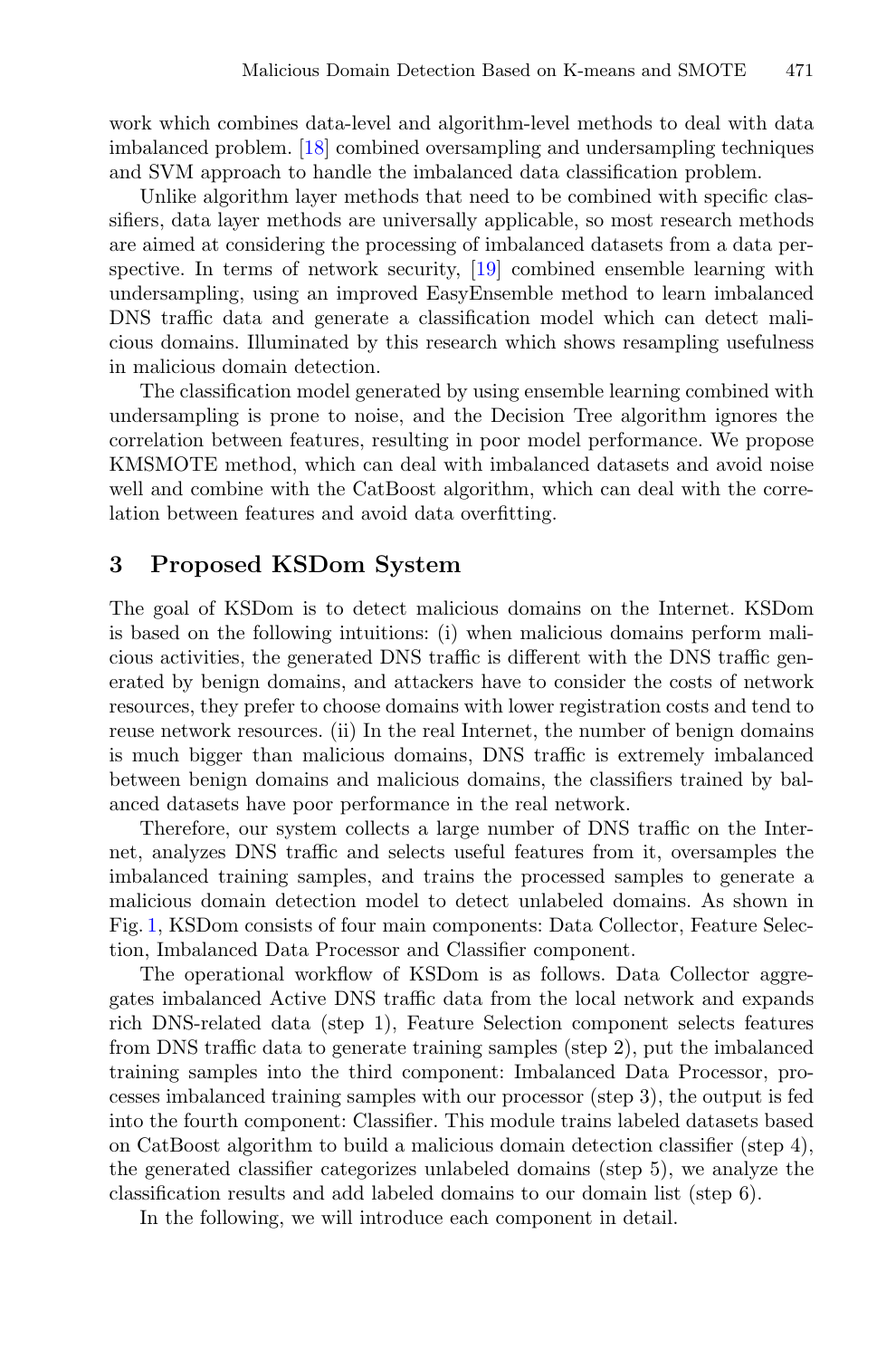work which combines data-level and algorithm-level methods to deal with data imbalanced problem. [\[18](#page-13-8)] combined oversampling and undersampling techniques and SVM approach to handle the imbalanced data classification problem.

Unlike algorithm layer methods that need to be combined with specific classifiers, data layer methods are universally applicable, so most research methods are aimed at considering the processing of imbalanced datasets from a data perspective. In terms of network security, [\[19\]](#page-13-9) combined ensemble learning with undersampling, using an improved EasyEnsemble method to learn imbalanced DNS traffic data and generate a classification model which can detect malicious domains. Illuminated by this research which shows resampling usefulness in malicious domain detection.

The classification model generated by using ensemble learning combined with undersampling is prone to noise, and the Decision Tree algorithm ignores the correlation between features, resulting in poor model performance. We propose KMSMOTE method, which can deal with imbalanced datasets and avoid noise well and combine with the CatBoost algorithm, which can deal with the correlation between features and avoid data overfitting.

## <span id="page-3-0"></span>**3 Proposed KSDom System**

The goal of KSDom is to detect malicious domains on the Internet. KSDom is based on the following intuitions: (i) when malicious domains perform malicious activities, the generated DNS traffic is different with the DNS traffic generated by benign domains, and attackers have to consider the costs of network resources, they prefer to choose domains with lower registration costs and tend to reuse network resources. (ii) In the real Internet, the number of benign domains is much bigger than malicious domains, DNS traffic is extremely imbalanced between benign domains and malicious domains, the classifiers trained by balanced datasets have poor performance in the real network.

Therefore, our system collects a large number of DNS traffic on the Internet, analyzes DNS traffic and selects useful features from it, oversamples the imbalanced training samples, and trains the processed samples to generate a malicious domain detection model to detect unlabeled domains. As shown in Fig. [1,](#page-4-0) KSDom consists of four main components: Data Collector, Feature Selection, Imbalanced Data Processor and Classifier component.

The operational workflow of KSDom is as follows. Data Collector aggregates imbalanced Active DNS traffic data from the local network and expands rich DNS-related data (step 1), Feature Selection component selects features from DNS traffic data to generate training samples (step 2), put the imbalanced training samples into the third component: Imbalanced Data Processor, processes imbalanced training samples with our processor (step 3), the output is fed into the fourth component: Classifier. This module trains labeled datasets based on CatBoost algorithm to build a malicious domain detection classifier (step 4), the generated classifier categorizes unlabeled domains (step 5), we analyze the classification results and add labeled domains to our domain list (step 6).

In the following, we will introduce each component in detail.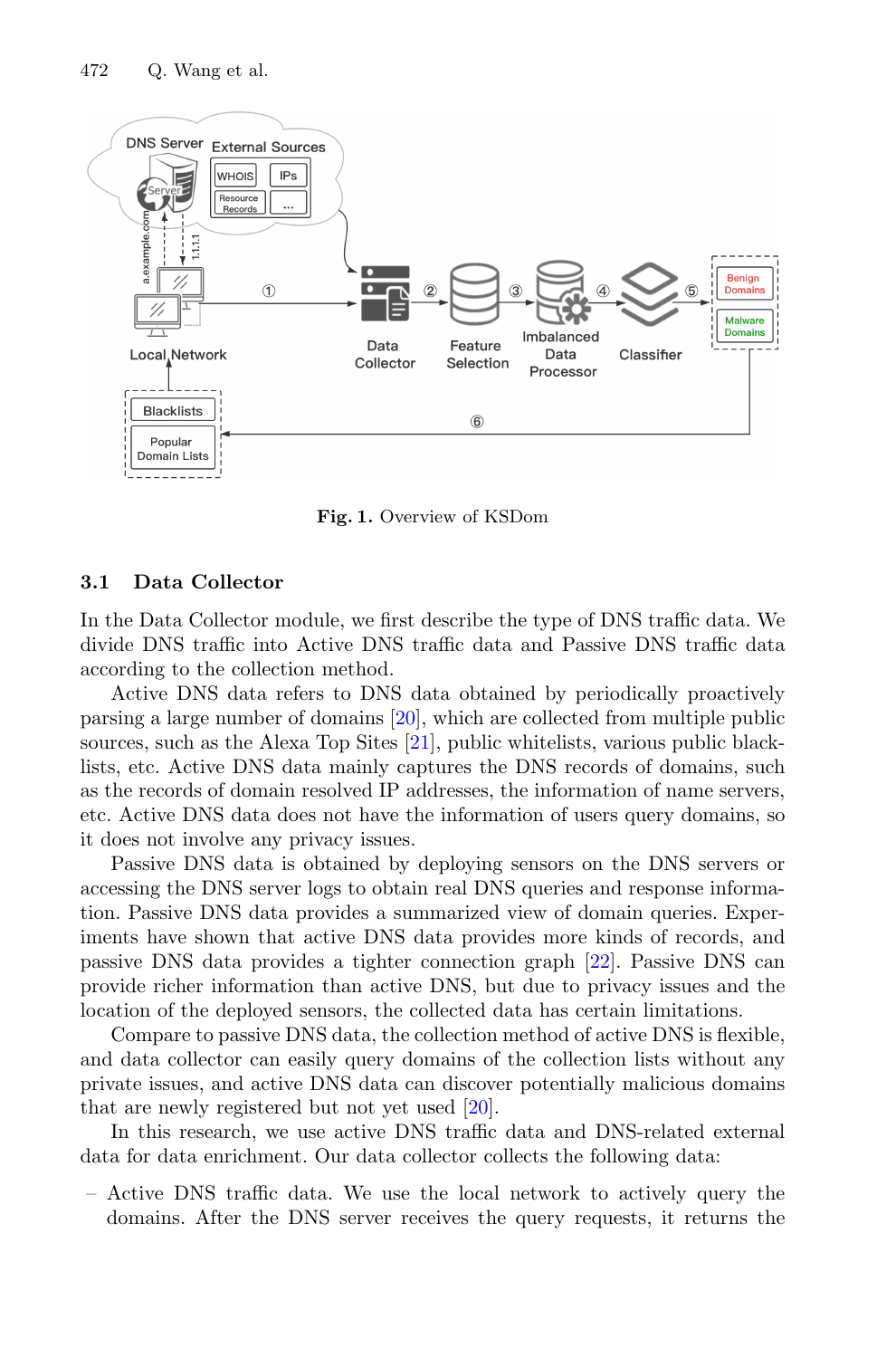

<span id="page-4-0"></span>**Fig. 1.** Overview of KSDom

### **3.1 Data Collector**

In the Data Collector module, we first describe the type of DNS traffic data. We divide DNS traffic into Active DNS traffic data and Passive DNS traffic data according to the collection method.

Active DNS data refers to DNS data obtained by periodically proactively parsing a large number of domains [\[20\]](#page-13-10), which are collected from multiple public sources, such as the Alexa Top Sites [\[21](#page-13-11)], public whitelists, various public blacklists, etc. Active DNS data mainly captures the DNS records of domains, such as the records of domain resolved IP addresses, the information of name servers, etc. Active DNS data does not have the information of users query domains, so it does not involve any privacy issues.

Passive DNS data is obtained by deploying sensors on the DNS servers or accessing the DNS server logs to obtain real DNS queries and response information. Passive DNS data provides a summarized view of domain queries. Experiments have shown that active DNS data provides more kinds of records, and passive DNS data provides a tighter connection graph [\[22](#page-13-12)]. Passive DNS can provide richer information than active DNS, but due to privacy issues and the location of the deployed sensors, the collected data has certain limitations.

Compare to passive DNS data, the collection method of active DNS is flexible, and data collector can easily query domains of the collection lists without any private issues, and active DNS data can discover potentially malicious domains that are newly registered but not yet used [\[20\]](#page-13-10).

In this research, we use active DNS traffic data and DNS-related external data for data enrichment. Our data collector collects the following data:

– Active DNS traffic data. We use the local network to actively query the domains. After the DNS server receives the query requests, it returns the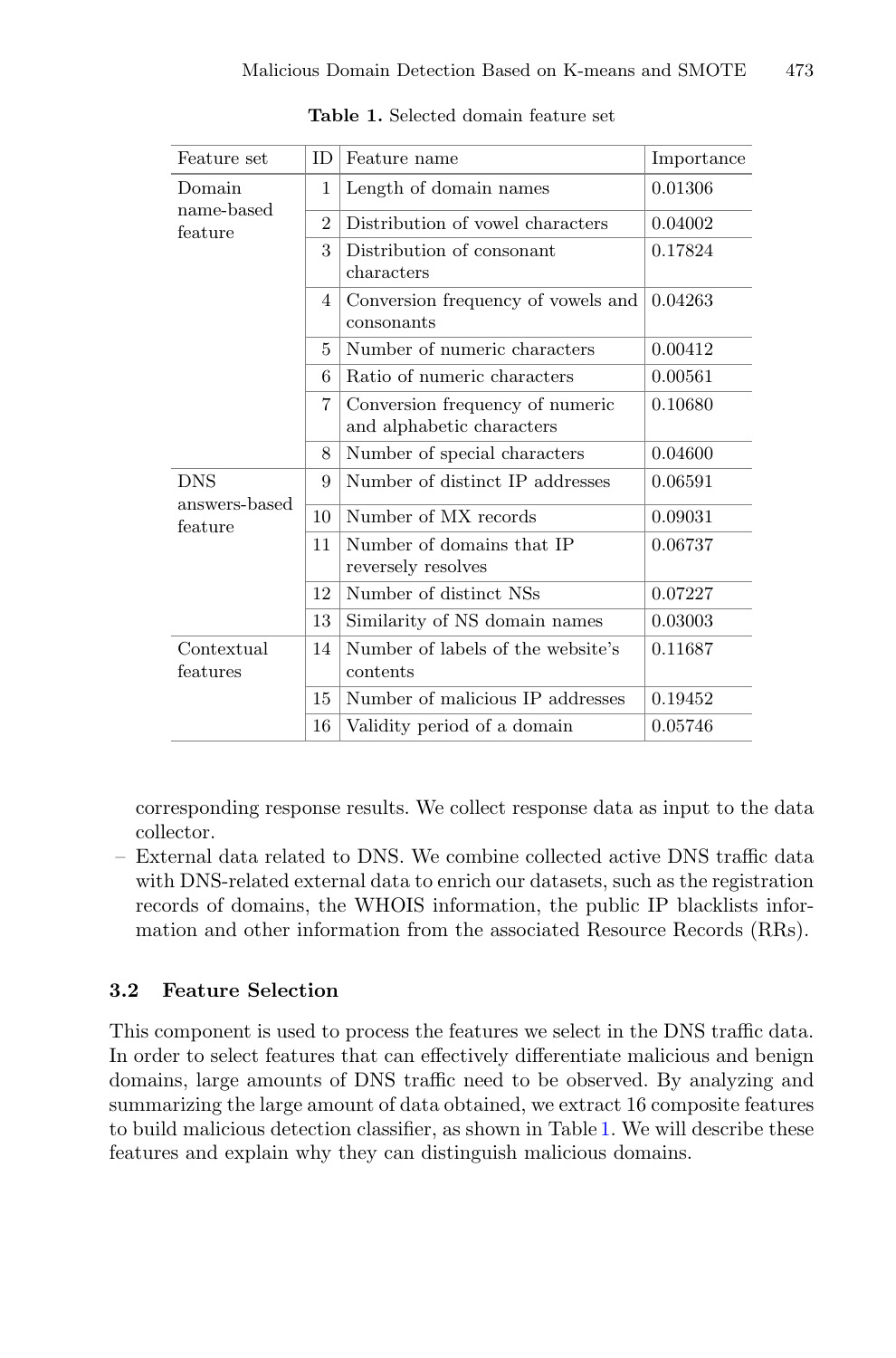| Feature set                            | <b>ID</b>      | Feature name                                                 | Importance |
|----------------------------------------|----------------|--------------------------------------------------------------|------------|
| Domain<br>name-based<br>feature        | 1              | Length of domain names                                       | 0.01306    |
|                                        | $\overline{2}$ | Distribution of yowel characters                             | 0.04002    |
|                                        | 3              | Distribution of consonant<br>characters                      | 0.17824    |
|                                        | 4              | Conversion frequency of vowels and<br>consonants             | 0.04263    |
|                                        | 5              | Number of numeric characters                                 | 0.00412    |
|                                        | 6              | Ratio of numeric characters                                  | 0.00561    |
|                                        | 7              | Conversion frequency of numeric<br>and alphabetic characters | 0.10680    |
|                                        | 8              | Number of special characters                                 | 0.04600    |
| <b>DNS</b><br>answers-based<br>feature | 9              | Number of distinct IP addresses                              | 0.06591    |
|                                        | 10             | Number of MX records                                         | 0.09031    |
|                                        | 11             | Number of domains that IP<br>reversely resolves              | 0.06737    |
|                                        | 12             | Number of distinct NSs                                       | 0.07227    |
|                                        | 13             | Similarity of NS domain names                                | 0.03003    |
| Contextual<br>features                 | 14             | Number of labels of the website's<br>contents                | 0.11687    |
|                                        | 15             | Number of malicious IP addresses                             | 0.19452    |
|                                        | 16             | Validity period of a domain                                  | 0.05746    |

<span id="page-5-0"></span>**Table 1.** Selected domain feature set

corresponding response results. We collect response data as input to the data collector.

– External data related to DNS. We combine collected active DNS traffic data with DNS-related external data to enrich our datasets, such as the registration records of domains, the WHOIS information, the public IP blacklists information and other information from the associated Resource Records (RRs).

#### **3.2 Feature Selection**

This component is used to process the features we select in the DNS traffic data. In order to select features that can effectively differentiate malicious and benign domains, large amounts of DNS traffic need to be observed. By analyzing and summarizing the large amount of data obtained, we extract 16 composite features to build malicious detection classifier, as shown in Table [1.](#page-5-0) We will describe these features and explain why they can distinguish malicious domains.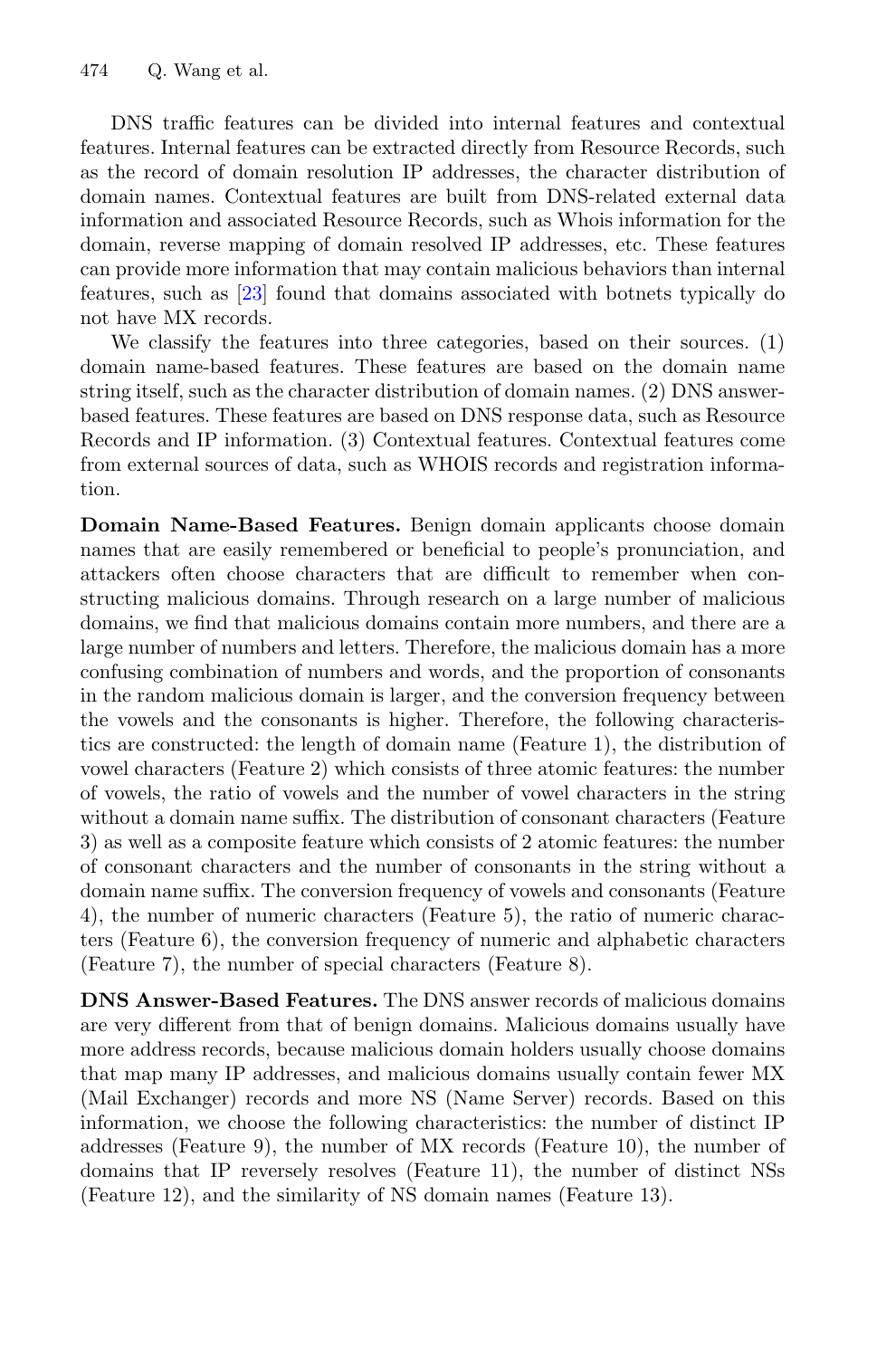DNS traffic features can be divided into internal features and contextual features. Internal features can be extracted directly from Resource Records, such as the record of domain resolution IP addresses, the character distribution of domain names. Contextual features are built from DNS-related external data information and associated Resource Records, such as Whois information for the domain, reverse mapping of domain resolved IP addresses, etc. These features can provide more information that may contain malicious behaviors than internal features, such as [\[23\]](#page-13-13) found that domains associated with botnets typically do not have MX records.

We classify the features into three categories, based on their sources. (1) domain name-based features. These features are based on the domain name string itself, such as the character distribution of domain names. (2) DNS answerbased features. These features are based on DNS response data, such as Resource Records and IP information. (3) Contextual features. Contextual features come from external sources of data, such as WHOIS records and registration information.

**Domain Name-Based Features.** Benign domain applicants choose domain names that are easily remembered or beneficial to people's pronunciation, and attackers often choose characters that are difficult to remember when constructing malicious domains. Through research on a large number of malicious domains, we find that malicious domains contain more numbers, and there are a large number of numbers and letters. Therefore, the malicious domain has a more confusing combination of numbers and words, and the proportion of consonants in the random malicious domain is larger, and the conversion frequency between the vowels and the consonants is higher. Therefore, the following characteristics are constructed: the length of domain name (Feature 1), the distribution of vowel characters (Feature 2) which consists of three atomic features: the number of vowels, the ratio of vowels and the number of vowel characters in the string without a domain name suffix. The distribution of consonant characters (Feature 3) as well as a composite feature which consists of 2 atomic features: the number of consonant characters and the number of consonants in the string without a domain name suffix. The conversion frequency of vowels and consonants (Feature 4), the number of numeric characters (Feature 5), the ratio of numeric characters (Feature 6), the conversion frequency of numeric and alphabetic characters (Feature 7), the number of special characters (Feature 8).

**DNS Answer-Based Features.** The DNS answer records of malicious domains are very different from that of benign domains. Malicious domains usually have more address records, because malicious domain holders usually choose domains that map many IP addresses, and malicious domains usually contain fewer MX (Mail Exchanger) records and more NS (Name Server) records. Based on this information, we choose the following characteristics: the number of distinct IP addresses (Feature 9), the number of MX records (Feature 10), the number of domains that IP reversely resolves (Feature 11), the number of distinct NSs (Feature 12), and the similarity of NS domain names (Feature 13).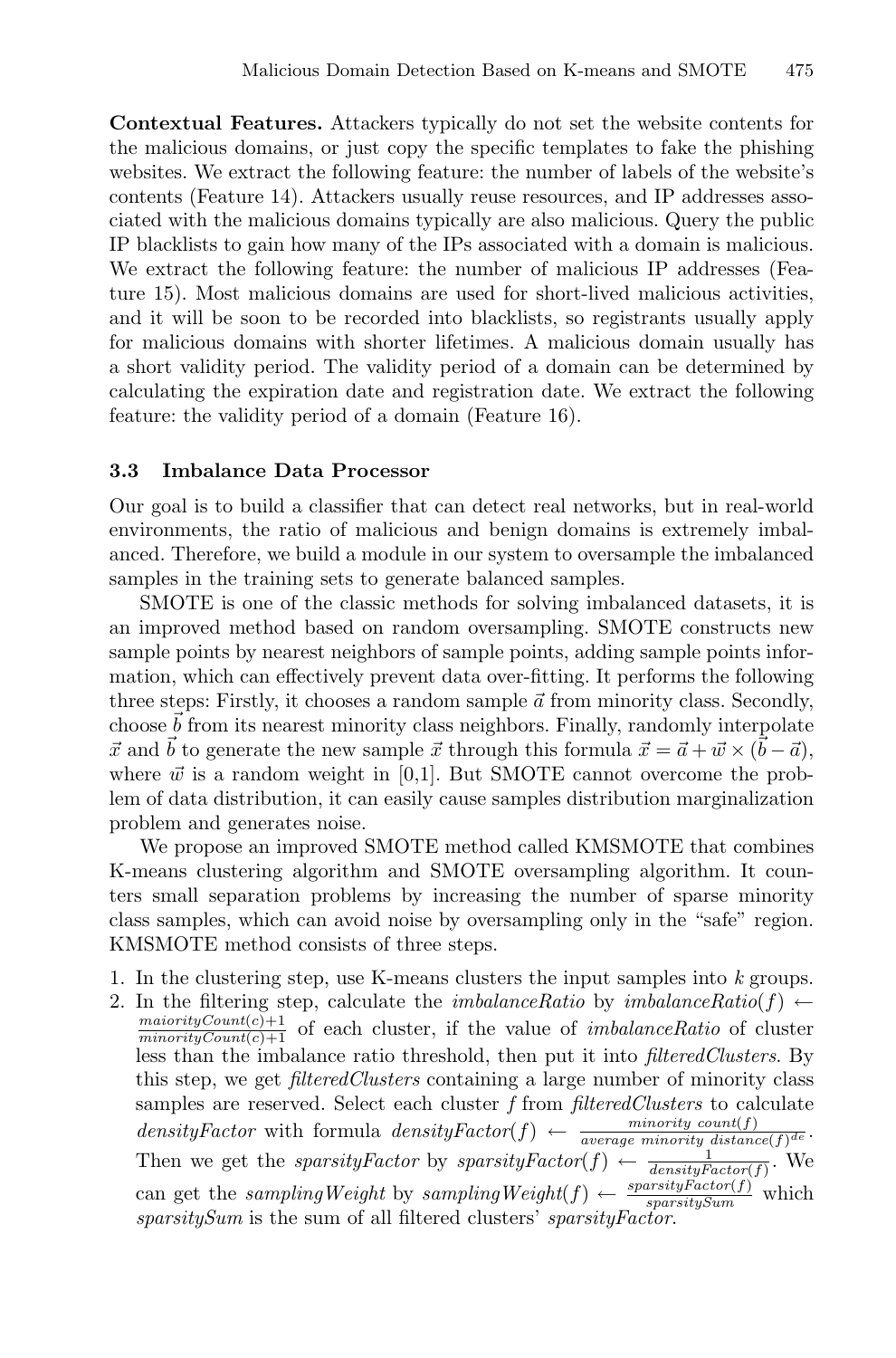**Contextual Features.** Attackers typically do not set the website contents for the malicious domains, or just copy the specific templates to fake the phishing websites. We extract the following feature: the number of labels of the website's contents (Feature 14). Attackers usually reuse resources, and IP addresses associated with the malicious domains typically are also malicious. Query the public IP blacklists to gain how many of the IPs associated with a domain is malicious. We extract the following feature: the number of malicious IP addresses (Feature 15). Most malicious domains are used for short-lived malicious activities, and it will be soon to be recorded into blacklists, so registrants usually apply for malicious domains with shorter lifetimes. A malicious domain usually has a short validity period. The validity period of a domain can be determined by calculating the expiration date and registration date. We extract the following feature: the validity period of a domain (Feature 16).

#### **3.3 Imbalance Data Processor**

Our goal is to build a classifier that can detect real networks, but in real-world environments, the ratio of malicious and benign domains is extremely imbalanced. Therefore, we build a module in our system to oversample the imbalanced samples in the training sets to generate balanced samples.

SMOTE is one of the classic methods for solving imbalanced datasets, it is an improved method based on random oversampling. SMOTE constructs new sample points by nearest neighbors of sample points, adding sample points information, which can effectively prevent data over-fitting. It performs the following three steps: Firstly, it chooses a random sample  $\vec{a}$  from minority class. Secondly, choose  $\vec{b}$  from its nearest minority class neighbors. Finally, randomly interpolate  $\vec{x}$  and  $\vec{b}$  to generate the new sample  $\vec{x}$  through this formula  $\vec{x} = \vec{a} + \vec{w} \times (\vec{b} - \vec{a})$ , where  $\vec{w}$  is a random weight in [0,1]. But SMOTE cannot overcome the problem of data distribution, it can easily cause samples distribution marginalization problem and generates noise.

We propose an improved SMOTE method called KMSMOTE that combines K-means clustering algorithm and SMOTE oversampling algorithm. It counters small separation problems by increasing the number of sparse minority class samples, which can avoid noise by oversampling only in the "safe" region. KMSMOTE method consists of three steps.

1. In the clustering step, use K-means clusters the input samples into *k* groups.

2. In the filtering step, calculate the *imbalanceRatio* by *imbalanceRatio*(f) ←  $\frac{1}{\text{main}}$  *maiorityCount*(c)+1 of one b alustor if the value of *imbalanceRatio* of alustor  $\frac{1}{\text{minorityCount}(c)+1}$  of each cluster, if the value of *imbalanceRatio* of cluster less than the imbalance ratio threshold, then put it into *filteredClusters*. By this step, we get *filteredClusters* containing a large number of minority class samples are reserved. Select each cluster *f* from *filteredClusters* to calculate  $densityFactor$  with formula  $densityFactor(f) \leftarrow \frac{minority~count(f)}{average~minority~distance(f)^{de}}$ . Then we get the *sparsityFactor* by *sparsityFactor*(*f*)  $\leftarrow \frac{1}{densityFactor(f)}$ . We can get the *samplingWeight* by  $samplingWeight(f) \leftarrow \frac{sparsityFactor(f)}{sparsitySum}$  which *sparsitySum* is the sum of all filtered clusters' *sparsityFactor*.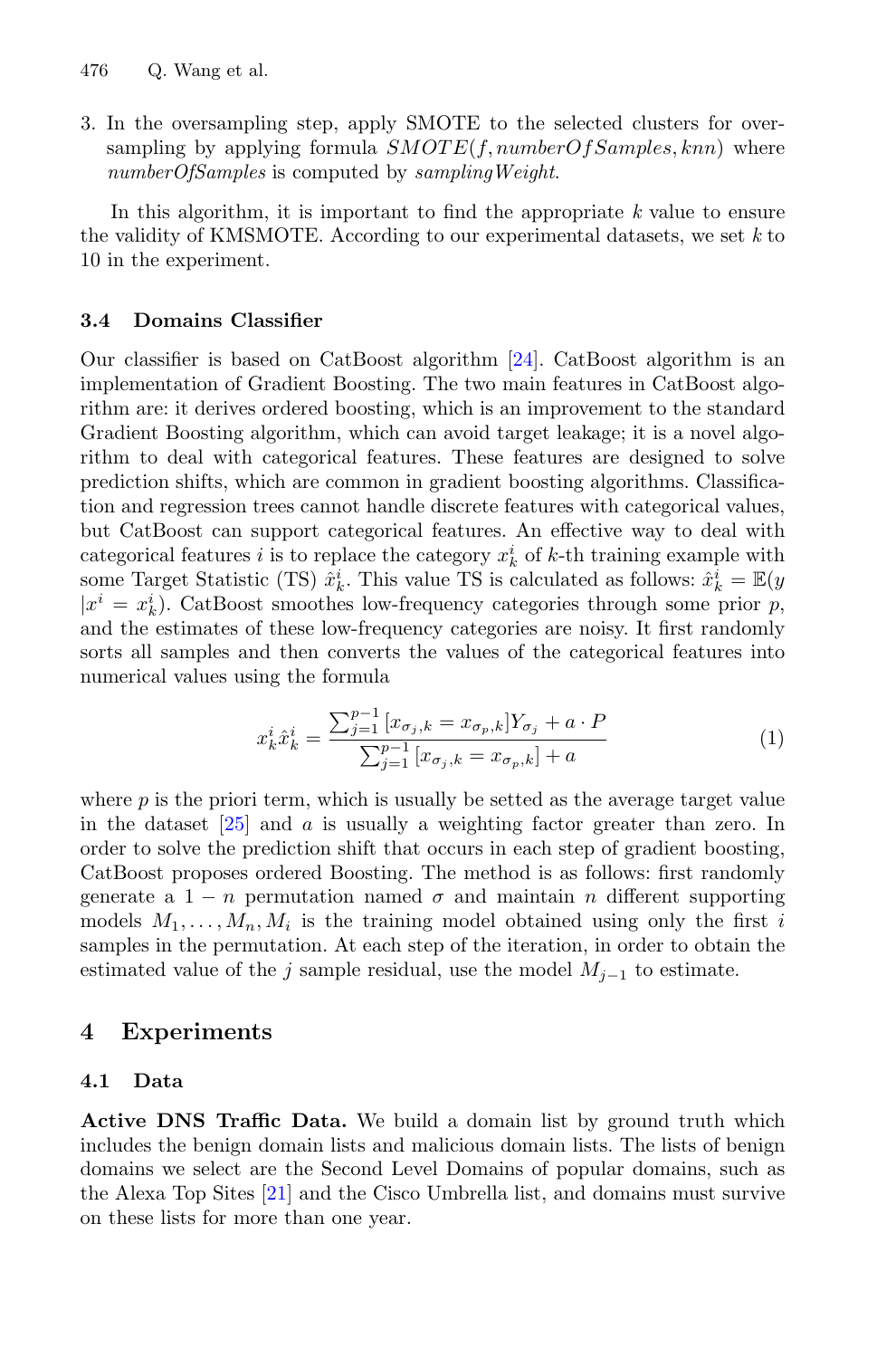3. In the oversampling step, apply SMOTE to the selected clusters for oversampling by applying formula  $SMOTE(f, numberOf Samples, knn)$  where *numberOfSamples* is computed by *samplingWeight*.

In this algorithm, it is important to find the appropriate *k* value to ensure the validity of KMSMOTE. According to our experimental datasets, we set *k* to 10 in the experiment.

#### **3.4 Domains Classifier**

Our classifier is based on CatBoost algorithm [\[24\]](#page-13-14). CatBoost algorithm is an implementation of Gradient Boosting. The two main features in CatBoost algorithm are: it derives ordered boosting, which is an improvement to the standard Gradient Boosting algorithm, which can avoid target leakage; it is a novel algorithm to deal with categorical features. These features are designed to solve prediction shifts, which are common in gradient boosting algorithms. Classification and regression trees cannot handle discrete features with categorical values, but CatBoost can support categorical features. An effective way to deal with categorical features *i* is to replace the category  $x_k^i$  of *k*-th training example with some Target Statistic (TS)  $\hat{x}_k^i$ . This value TS is calculated as follows:  $\hat{x}_k^i = \mathbb{E}(y)$  $|x^{i} = x_{k}^{i}|$ . CatBoost smoothes low-frequency categories through some prior p, and the estimates of these low-frequency categories are noisy. It first randomly sorts all samples and then converts the values of the categorical features into numerical values using the formula

$$
x_k^i \hat{x}_k^i = \frac{\sum_{j=1}^{p-1} [x_{\sigma_j,k} = x_{\sigma_p,k}] Y_{\sigma_j} + a \cdot P}{\sum_{j=1}^{p-1} [x_{\sigma_j,k} = x_{\sigma_p,k}] + a}
$$
(1)

where  $p$  is the priori term, which is usually be setted as the average target value in the dataset  $[25]$  $[25]$  and a is usually a weighting factor greater than zero. In order to solve the prediction shift that occurs in each step of gradient boosting, CatBoost proposes ordered Boosting. The method is as follows: first randomly generate a  $1 - n$  permutation named  $\sigma$  and maintain n different supporting models  $M_1, \ldots, M_n, M_i$  is the training model obtained using only the first i samples in the permutation. At each step of the iteration, in order to obtain the estimated value of the j sample residual, use the model  $M_{i-1}$  to estimate.

#### <span id="page-8-0"></span>**4 Experiments**

#### **4.1 Data**

**Active DNS Traffic Data.** We build a domain list by ground truth which includes the benign domain lists and malicious domain lists. The lists of benign domains we select are the Second Level Domains of popular domains, such as the Alexa Top Sites [\[21\]](#page-13-11) and the Cisco Umbrella list, and domains must survive on these lists for more than one year.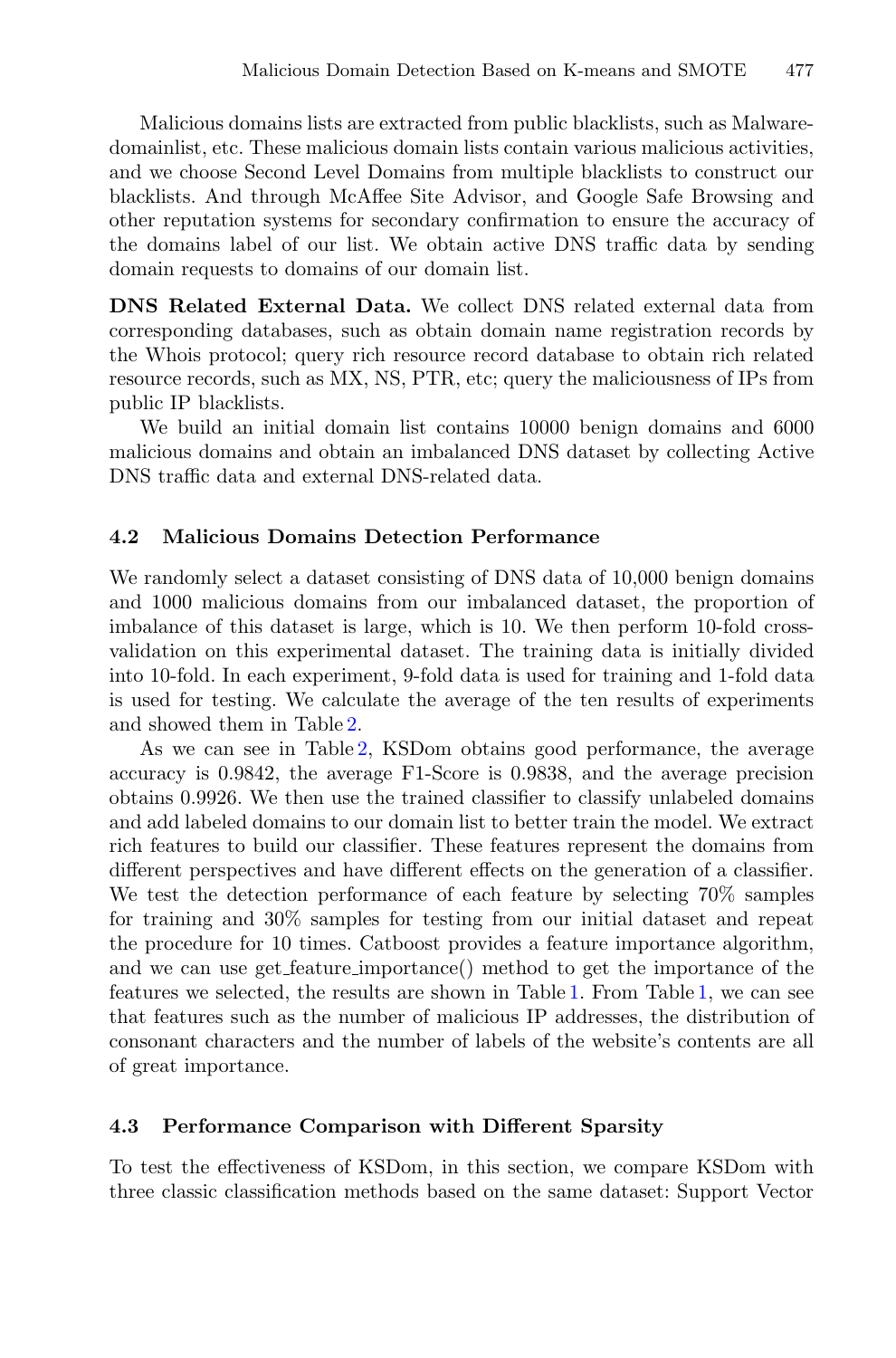Malicious domains lists are extracted from public blacklists, such as Malwaredomainlist, etc. These malicious domain lists contain various malicious activities, and we choose Second Level Domains from multiple blacklists to construct our blacklists. And through McAffee Site Advisor, and Google Safe Browsing and other reputation systems for secondary confirmation to ensure the accuracy of the domains label of our list. We obtain active DNS traffic data by sending domain requests to domains of our domain list.

**DNS Related External Data.** We collect DNS related external data from corresponding databases, such as obtain domain name registration records by the Whois protocol; query rich resource record database to obtain rich related resource records, such as MX, NS, PTR, etc; query the maliciousness of IPs from public IP blacklists.

We build an initial domain list contains 10000 benign domains and 6000 malicious domains and obtain an imbalanced DNS dataset by collecting Active DNS traffic data and external DNS-related data.

#### **4.2 Malicious Domains Detection Performance**

We randomly select a dataset consisting of DNS data of 10,000 benign domains and 1000 malicious domains from our imbalanced dataset, the proportion of imbalance of this dataset is large, which is 10. We then perform 10-fold crossvalidation on this experimental dataset. The training data is initially divided into 10-fold. In each experiment, 9-fold data is used for training and 1-fold data is used for testing. We calculate the average of the ten results of experiments and showed them in Table [2.](#page-10-0)

As we can see in Table [2,](#page-10-0) KSDom obtains good performance, the average accuracy is 0.9842, the average F1-Score is 0.9838, and the average precision obtains 0.9926. We then use the trained classifier to classify unlabeled domains and add labeled domains to our domain list to better train the model. We extract rich features to build our classifier. These features represent the domains from different perspectives and have different effects on the generation of a classifier. We test the detection performance of each feature by selecting 70% samples for training and 30% samples for testing from our initial dataset and repeat the procedure for 10 times. Catboost provides a feature importance algorithm, and we can use get feature importance() method to get the importance of the features we selected, the results are shown in Table [1.](#page-5-0) From Table [1,](#page-5-0) we can see that features such as the number of malicious IP addresses, the distribution of consonant characters and the number of labels of the website's contents are all of great importance.

#### **4.3 Performance Comparison with Different Sparsity**

To test the effectiveness of KSDom, in this section, we compare KSDom with three classic classification methods based on the same dataset: Support Vector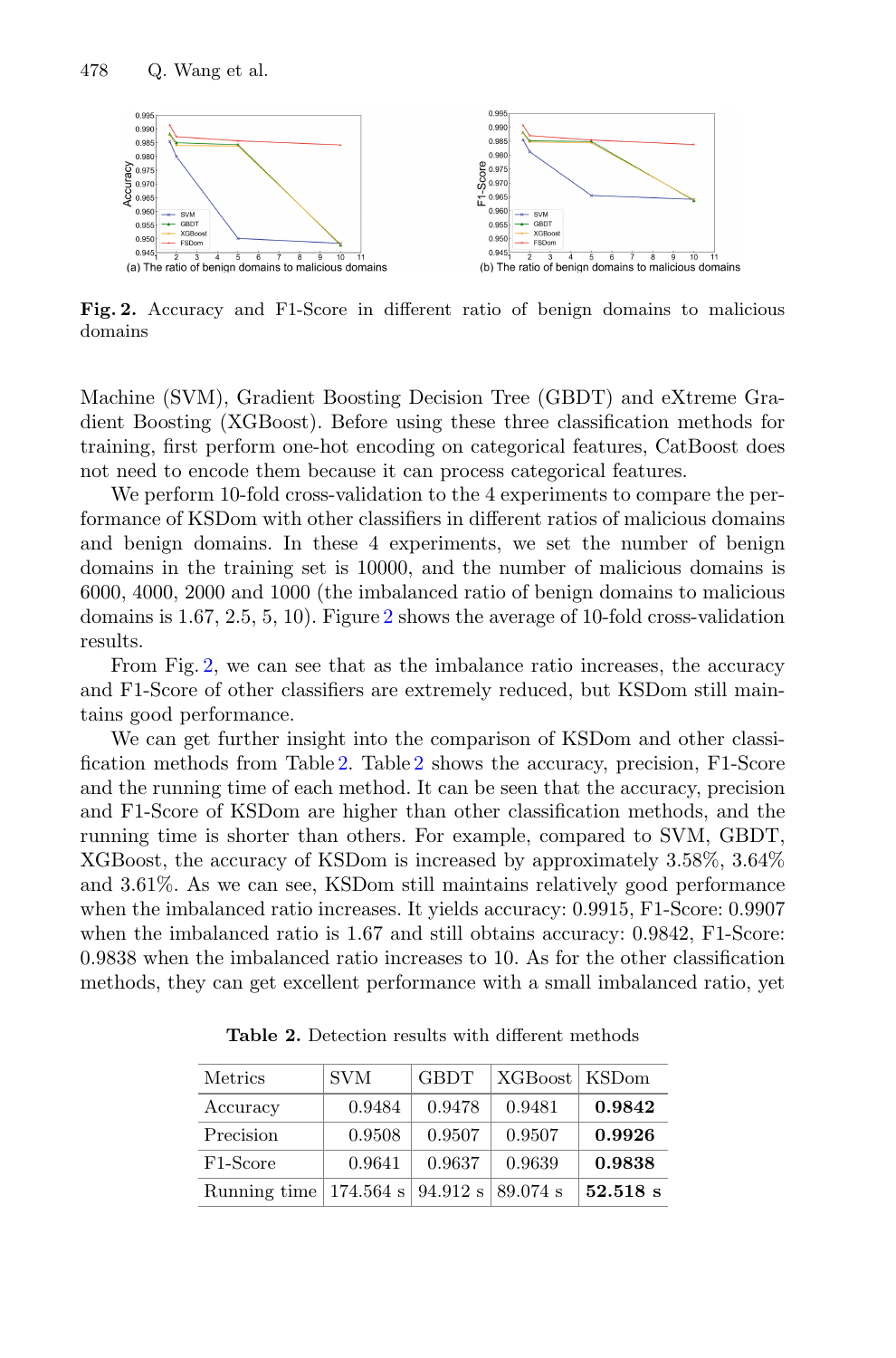

<span id="page-10-1"></span>**Fig. 2.** Accuracy and F1-Score in different ratio of benign domains to malicious domains

Machine (SVM), Gradient Boosting Decision Tree (GBDT) and eXtreme Gradient Boosting (XGBoost). Before using these three classification methods for training, first perform one-hot encoding on categorical features, CatBoost does not need to encode them because it can process categorical features.

We perform 10-fold cross-validation to the 4 experiments to compare the performance of KSDom with other classifiers in different ratios of malicious domains and benign domains. In these 4 experiments, we set the number of benign domains in the training set is 10000, and the number of malicious domains is 6000, 4000, 2000 and 1000 (the imbalanced ratio of benign domains to malicious domains is 1.67, 2.5, 5, 10). Figure [2](#page-10-1) shows the average of 10-fold cross-validation results.

From Fig. [2,](#page-10-1) we can see that as the imbalance ratio increases, the accuracy and F1-Score of other classifiers are extremely reduced, but KSDom still maintains good performance.

We can get further insight into the comparison of KSDom and other classification methods from Table [2.](#page-10-0) Table [2](#page-10-0) shows the accuracy, precision, F1-Score and the running time of each method. It can be seen that the accuracy, precision and F1-Score of KSDom are higher than other classification methods, and the running time is shorter than others. For example, compared to SVM, GBDT, XGBoost, the accuracy of KSDom is increased by approximately 3.58%, 3.64% and 3.61%. As we can see, KSDom still maintains relatively good performance when the imbalanced ratio increases. It yields accuracy: 0.9915, F1-Score: 0.9907 when the imbalanced ratio is  $1.67$  and still obtains accuracy:  $0.9842$ , F1-Score: 0.9838 when the imbalanced ratio increases to 10. As for the other classification methods, they can get excellent performance with a small imbalanced ratio, yet

| Metrics               | <b>SVM</b>                        | <b>GBDT</b> | XGBoost | KSDom      |
|-----------------------|-----------------------------------|-------------|---------|------------|
| Accuracy              | 0.9484                            | 0.9478      | 0.9481  | 0.9842     |
| Precision             | 0.9508                            | 0.9507      | 0.9507  | 0.9926     |
| F <sub>1</sub> -Score | 0.9641                            | 0.9637      | 0.9639  | 0.9838     |
| Running time          | $174.564$ s   94.912 s   89.074 s |             |         | $52.518$ s |

<span id="page-10-0"></span>**Table 2.** Detection results with different methods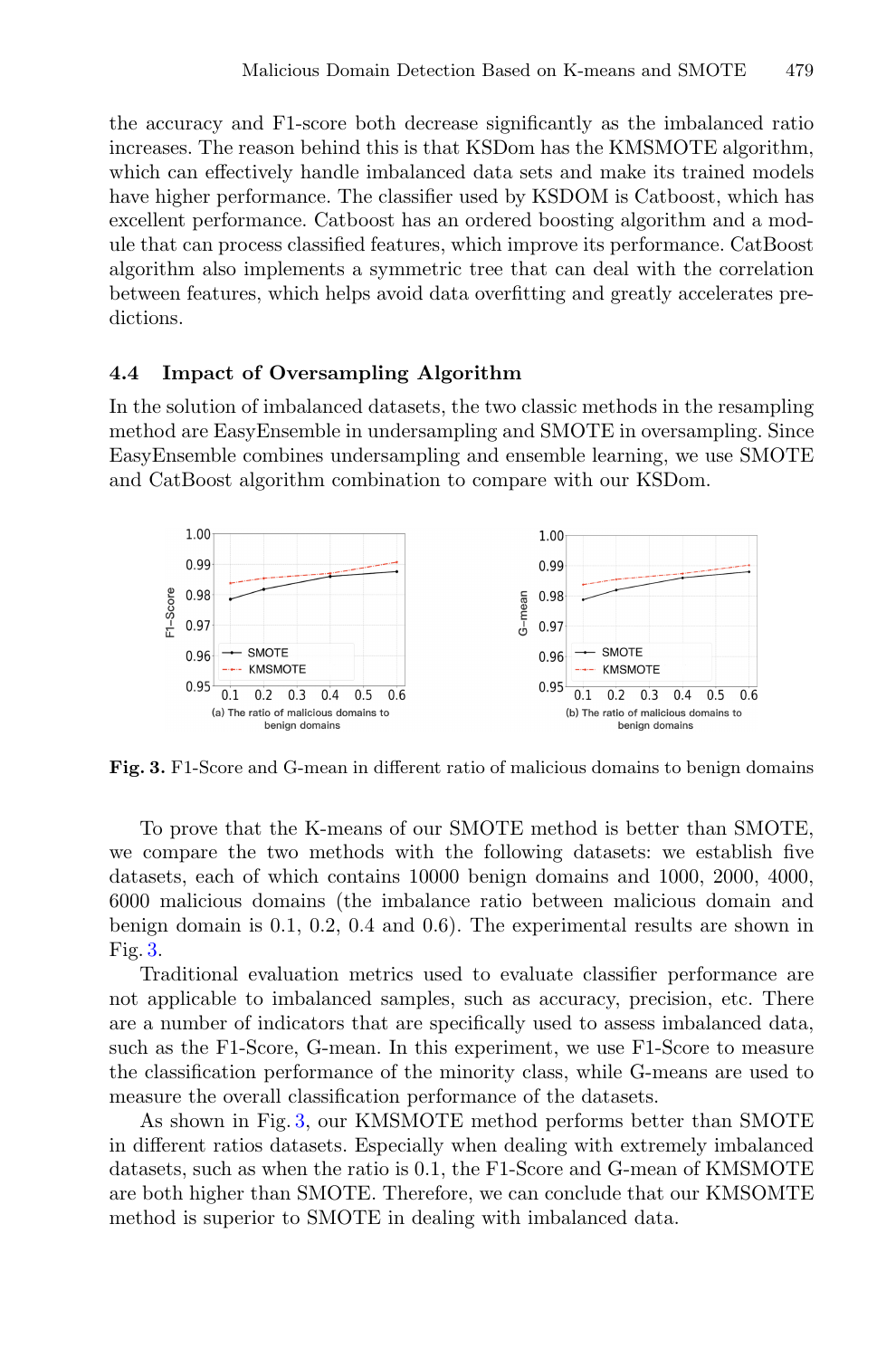the accuracy and F1-score both decrease significantly as the imbalanced ratio increases. The reason behind this is that KSDom has the KMSMOTE algorithm, which can effectively handle imbalanced data sets and make its trained models have higher performance. The classifier used by KSDOM is Catboost, which has excellent performance. Catboost has an ordered boosting algorithm and a module that can process classified features, which improve its performance. CatBoost algorithm also implements a symmetric tree that can deal with the correlation between features, which helps avoid data overfitting and greatly accelerates predictions.

#### **4.4 Impact of Oversampling Algorithm**

In the solution of imbalanced datasets, the two classic methods in the resampling method are EasyEnsemble in undersampling and SMOTE in oversampling. Since EasyEnsemble combines undersampling and ensemble learning, we use SMOTE and CatBoost algorithm combination to compare with our KSDom.



<span id="page-11-0"></span>**Fig. 3.** F1-Score and G-mean in different ratio of malicious domains to benign domains

To prove that the K-means of our SMOTE method is better than SMOTE, we compare the two methods with the following datasets: we establish five datasets, each of which contains 10000 benign domains and 1000, 2000, 4000, 6000 malicious domains (the imbalance ratio between malicious domain and benign domain is 0.1, 0.2, 0.4 and 0.6). The experimental results are shown in Fig. [3.](#page-11-0)

Traditional evaluation metrics used to evaluate classifier performance are not applicable to imbalanced samples, such as accuracy, precision, etc. There are a number of indicators that are specifically used to assess imbalanced data, such as the F1-Score, G-mean. In this experiment, we use F1-Score to measure the classification performance of the minority class, while G-means are used to measure the overall classification performance of the datasets.

As shown in Fig. [3,](#page-11-0) our KMSMOTE method performs better than SMOTE in different ratios datasets. Especially when dealing with extremely imbalanced datasets, such as when the ratio is 0.1, the F1-Score and G-mean of KMSMOTE are both higher than SMOTE. Therefore, we can conclude that our KMSOMTE method is superior to SMOTE in dealing with imbalanced data.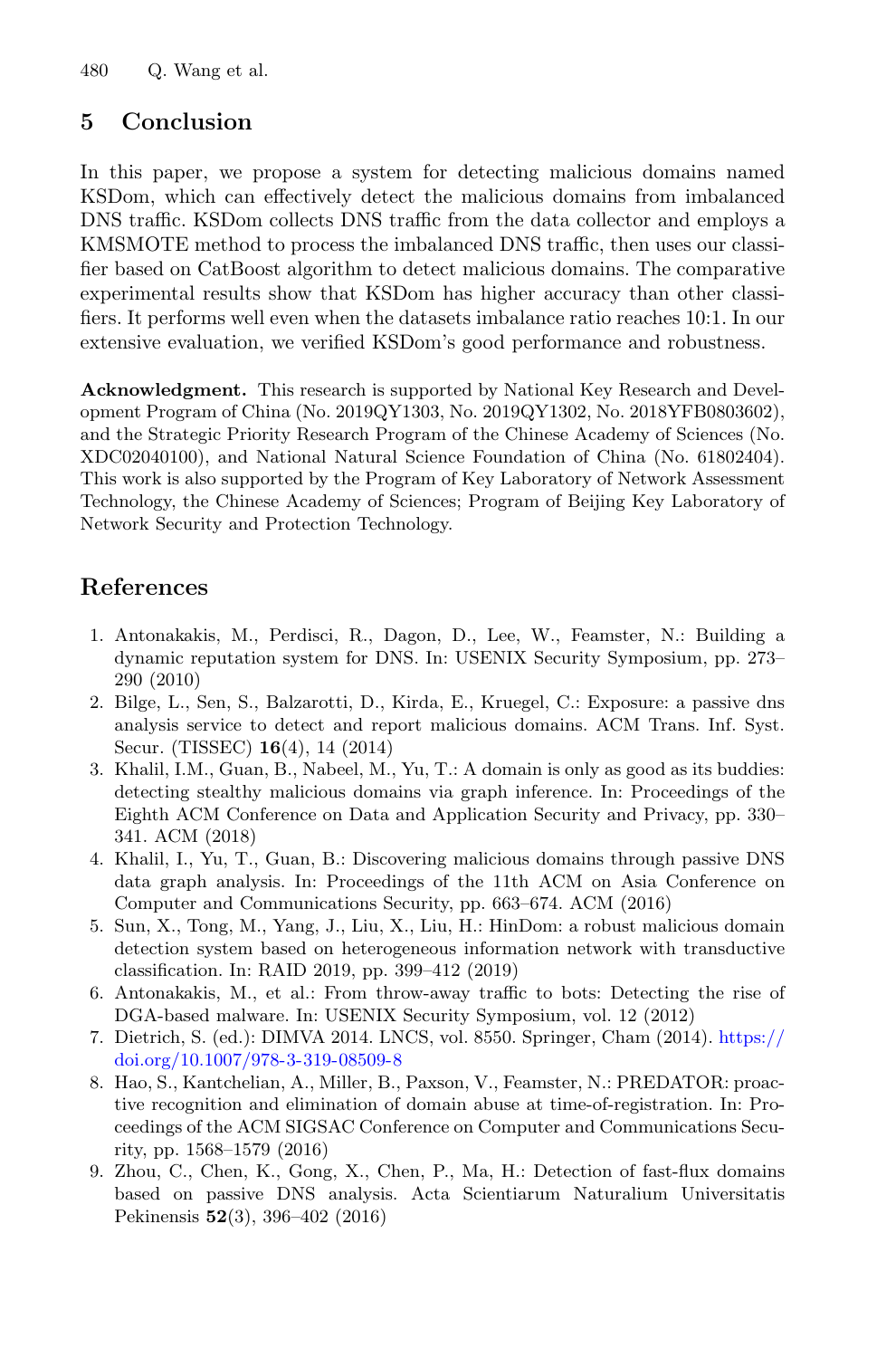## <span id="page-12-5"></span>**5 Conclusion**

In this paper, we propose a system for detecting malicious domains named KSDom, which can effectively detect the malicious domains from imbalanced DNS traffic. KSDom collects DNS traffic from the data collector and employs a KMSMOTE method to process the imbalanced DNS traffic, then uses our classifier based on CatBoost algorithm to detect malicious domains. The comparative experimental results show that KSDom has higher accuracy than other classifiers. It performs well even when the datasets imbalance ratio reaches 10:1. In our extensive evaluation, we verified KSDom's good performance and robustness.

**Acknowledgment.** This research is supported by National Key Research and Development Program of China (No. 2019QY1303, No. 2019QY1302, No. 2018YFB0803602), and the Strategic Priority Research Program of the Chinese Academy of Sciences (No. XDC02040100), and National Natural Science Foundation of China (No. 61802404). This work is also supported by the Program of Key Laboratory of Network Assessment Technology, the Chinese Academy of Sciences; Program of Beijing Key Laboratory of Network Security and Protection Technology.

## **References**

- <span id="page-12-0"></span>1. Antonakakis, M., Perdisci, R., Dagon, D., Lee, W., Feamster, N.: Building a dynamic reputation system for DNS. In: USENIX Security Symposium, pp. 273– 290 (2010)
- <span id="page-12-1"></span>2. Bilge, L., Sen, S., Balzarotti, D., Kirda, E., Kruegel, C.: Exposure: a passive dns analysis service to detect and report malicious domains. ACM Trans. Inf. Syst. Secur. (TISSEC) **16**(4), 14 (2014)
- <span id="page-12-2"></span>3. Khalil, I.M., Guan, B., Nabeel, M., Yu, T.: A domain is only as good as its buddies: detecting stealthy malicious domains via graph inference. In: Proceedings of the Eighth ACM Conference on Data and Application Security and Privacy, pp. 330– 341. ACM (2018)
- <span id="page-12-3"></span>4. Khalil, I., Yu, T., Guan, B.: Discovering malicious domains through passive DNS data graph analysis. In: Proceedings of the 11th ACM on Asia Conference on Computer and Communications Security, pp. 663–674. ACM (2016)
- <span id="page-12-4"></span>5. Sun, X., Tong, M., Yang, J., Liu, X., Liu, H.: HinDom: a robust malicious domain detection system based on heterogeneous information network with transductive classification. In: RAID 2019, pp. 399–412 (2019)
- <span id="page-12-6"></span>6. Antonakakis, M., et al.: From throw-away traffic to bots: Detecting the rise of DGA-based malware. In: USENIX Security Symposium, vol. 12 (2012)
- <span id="page-12-7"></span>7. Dietrich, S. (ed.): DIMVA 2014. LNCS, vol. 8550. Springer, Cham (2014). [https://](https://doi.org/10.1007/978-3-319-08509-8) [doi.org/10.1007/978-3-319-08509-8](https://doi.org/10.1007/978-3-319-08509-8)
- <span id="page-12-8"></span>8. Hao, S., Kantchelian, A., Miller, B., Paxson, V., Feamster, N.: PREDATOR: proactive recognition and elimination of domain abuse at time-of-registration. In: Proceedings of the ACM SIGSAC Conference on Computer and Communications Security, pp. 1568–1579 (2016)
- <span id="page-12-9"></span>9. Zhou, C., Chen, K., Gong, X., Chen, P., Ma, H.: Detection of fast-flux domains based on passive DNS analysis. Acta Scientiarum Naturalium Universitatis Pekinensis **52**(3), 396–402 (2016)